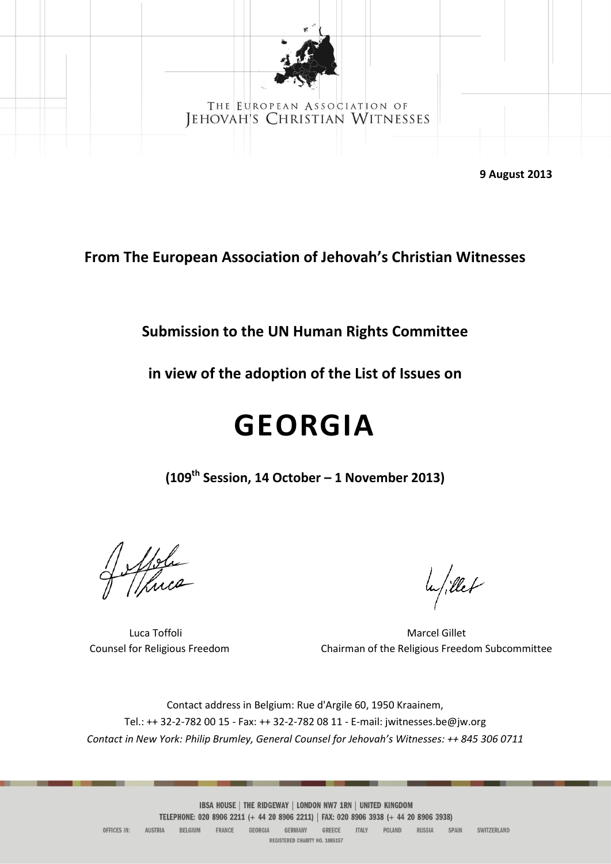

#### THE EUROPEAN ASSOCIATION OF JEHOVAH'S CHRISTIAN WITNESSES

**9 August 2013** 

**From The European Association of Jehovah's Christian Witnesses**

**Submission to the UN Human Rights Committee** 

**in view of the adoption of the List of Issues on** 

# **GEORGIA**

**(109th Session, 14 October – 1 November 2013)**

Spole

lu/illet

Luca Toffoli **Marcel Gillet** Marcel Gillet Counsel for Religious Freedom Chairman of the Religious Freedom Subcommittee

Contact address in Belgium: Rue d'Argile 60, 1950 Kraainem, Tel.: ++ 32-2-782 00 15 - Fax: ++ 32-2-782 08 11 - E-mail: jwitnesses.be@jw.org *Contact in New York: Philip Brumley, General Counsel for Jehovah's Witnesses: ++ 845 306 0711*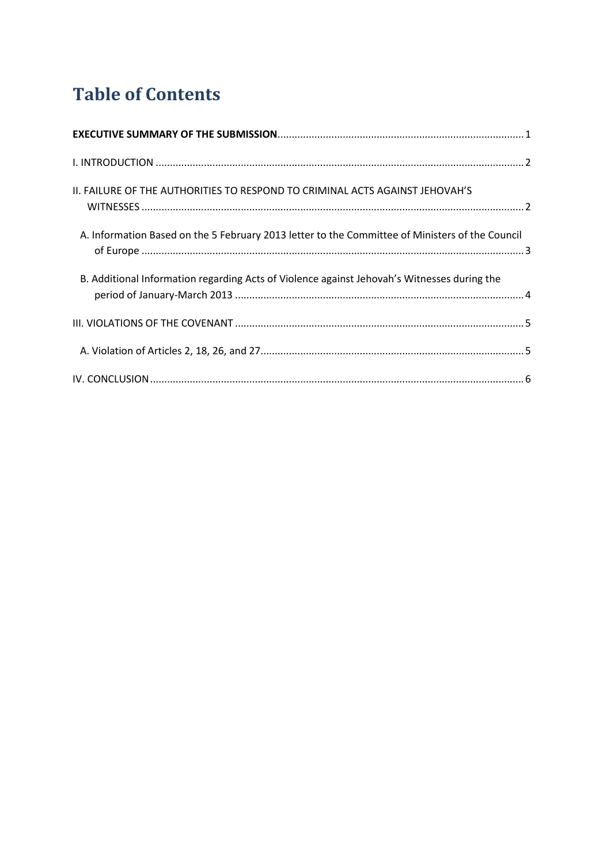# **Table of Contents**

| II. FAILURE OF THE AUTHORITIES TO RESPOND TO CRIMINAL ACTS AGAINST JEHOVAH'S                    |  |
|-------------------------------------------------------------------------------------------------|--|
| A. Information Based on the 5 February 2013 letter to the Committee of Ministers of the Council |  |
| B. Additional Information regarding Acts of Violence against Jehovah's Witnesses during the     |  |
|                                                                                                 |  |
|                                                                                                 |  |
|                                                                                                 |  |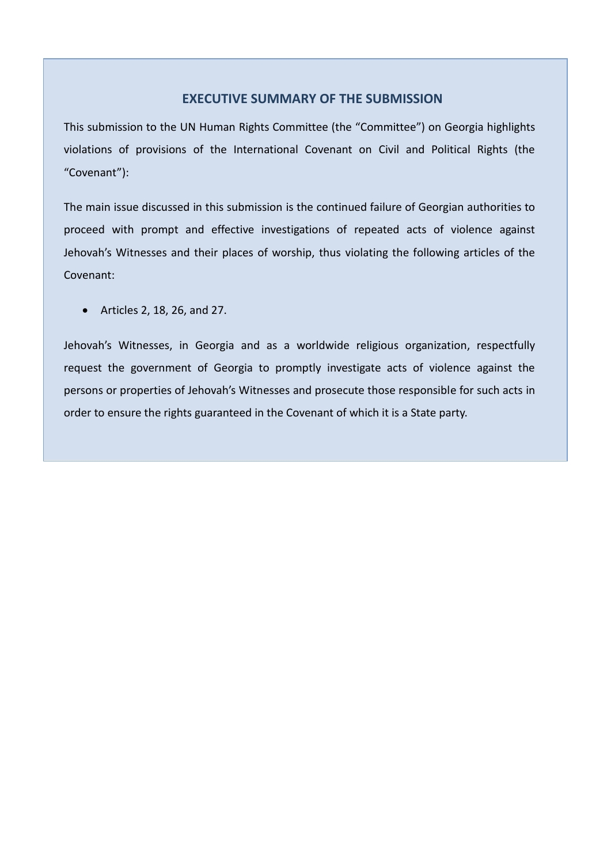#### **EXECUTIVE SUMMARY OF THE SUBMISSION**

<span id="page-2-0"></span>This submission to the UN Human Rights Committee (the "Committee") on Georgia highlights violations of provisions of the International Covenant on Civil and Political Rights (the "Covenant"):

The main issue discussed in this submission is the continued failure of Georgian authorities to proceed with prompt and effective investigations of repeated acts of violence against Jehovah's Witnesses and their places of worship, thus violating the following articles of the Covenant:

Articles 2, 18, 26, and 27.

Jehovah's Witnesses, in Georgia and as a worldwide religious organization, respectfully request the government of Georgia to promptly investigate acts of violence against the persons or properties of Jehovah's Witnesses and prosecute those responsible for such acts in order to ensure the rights guaranteed in the Covenant of which it is a State party.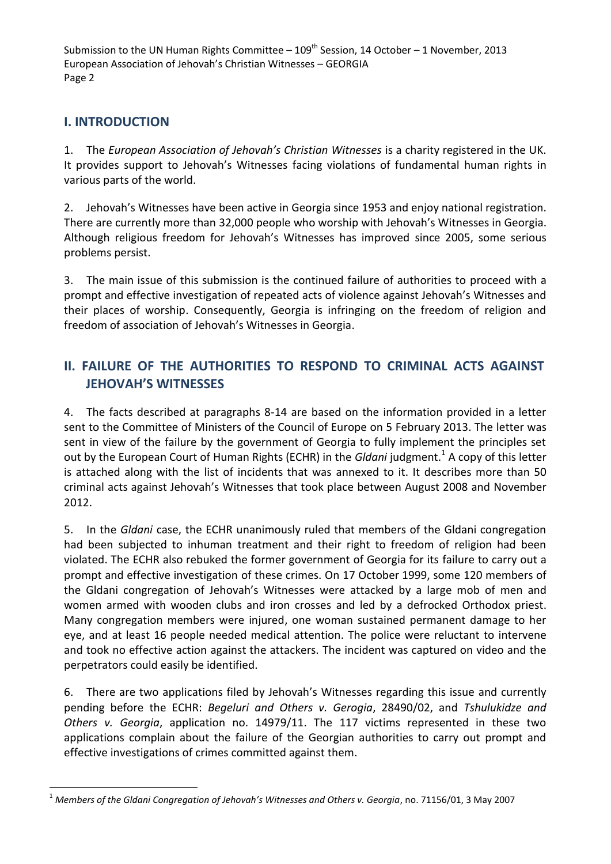# <span id="page-3-0"></span>**I. INTRODUCTION**

 $\overline{a}$ 

1. The *European Association of Jehovah's Christian Witnesses* is a charity registered in the UK. It provides support to Jehovah's Witnesses facing violations of fundamental human rights in various parts of the world.

2. Jehovah's Witnesses have been active in Georgia since 1953 and enjoy national registration. There are currently more than 32,000 people who worship with Jehovah's Witnesses in Georgia. Although religious freedom for Jehovah's Witnesses has improved since 2005, some serious problems persist.

3. The main issue of this submission is the continued failure of authorities to proceed with a prompt and effective investigation of repeated acts of violence against Jehovah's Witnesses and their places of worship. Consequently, Georgia is infringing on the freedom of religion and freedom of association of Jehovah's Witnesses in Georgia.

# <span id="page-3-1"></span>**II. FAILURE OF THE AUTHORITIES TO RESPOND TO CRIMINAL ACTS AGAINST JEHOVAH'S WITNESSES**

4. The facts described at paragraphs 8-14 are based on the information provided in a letter sent to the Committee of Ministers of the Council of Europe on 5 February 2013. The letter was sent in view of the failure by the government of Georgia to fully implement the principles set out by the European Court of Human Rights (ECHR) in the *Gldani* judgment.<sup>1</sup> A copy of this letter is attached along with the list of incidents that was annexed to it. It describes more than 50 criminal acts against Jehovah's Witnesses that took place between August 2008 and November 2012.

5. In the *Gldani* case, the ECHR unanimously ruled that members of the Gldani congregation had been subjected to inhuman treatment and their right to freedom of religion had been violated. The ECHR also rebuked the former government of Georgia for its failure to carry out a prompt and effective investigation of these crimes. On 17 October 1999, some 120 members of the Gldani congregation of Jehovah's Witnesses were attacked by a large mob of men and women armed with wooden clubs and iron crosses and led by a defrocked Orthodox priest. Many congregation members were injured, one woman sustained permanent damage to her eye, and at least 16 people needed medical attention. The police were reluctant to intervene and took no effective action against the attackers. The incident was captured on video and the perpetrators could easily be identified.

6. There are two applications filed by Jehovah's Witnesses regarding this issue and currently pending before the ECHR: *Begeluri and Others v. Gerogia*, 28490/02, and *Tshulukidze and Others v. Georgia*, application no. 14979/11. The 117 victims represented in these two applications complain about the failure of the Georgian authorities to carry out prompt and effective investigations of crimes committed against them.

<sup>&</sup>lt;sup>1</sup> Members of the Gldani Congregation of Jehovah's Witnesses and Others v. Georgia, no. 71156/01, 3 May 2007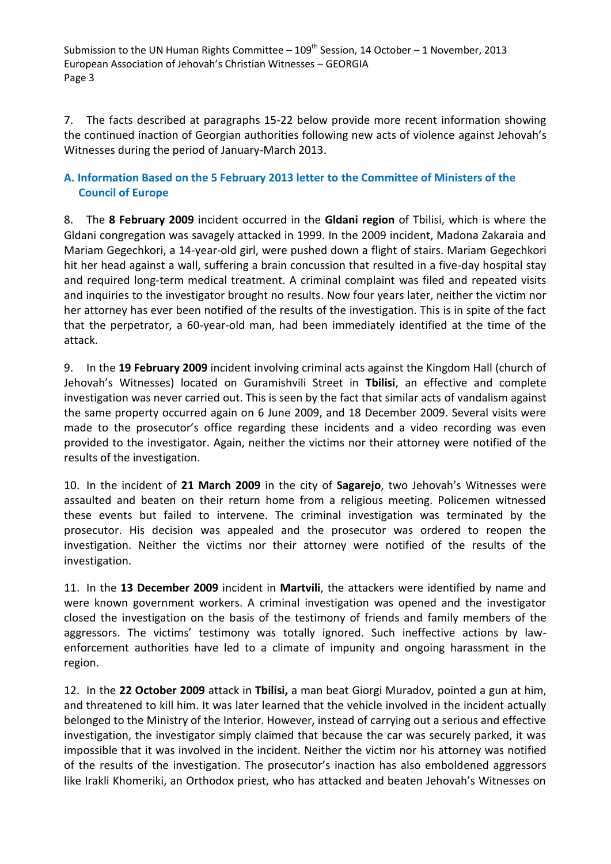7. The facts described at paragraphs 15-22 below provide more recent information showing the continued inaction of Georgian authorities following new acts of violence against Jehovah's Witnesses during the period of January-March 2013.

#### <span id="page-4-0"></span>**A. Information Based on the 5 February 2013 letter to the Committee of Ministers of the Council of Europe**

8. The **8 February 2009** incident occurred in the **Gldani region** of Tbilisi, which is where the Gldani congregation was savagely attacked in 1999. In the 2009 incident, Madona Zakaraia and Mariam Gegechkori, a 14-year-old girl, were pushed down a flight of stairs. Mariam Gegechkori hit her head against a wall, suffering a brain concussion that resulted in a five-day hospital stay and required long-term medical treatment. A criminal complaint was filed and repeated visits and inquiries to the investigator brought no results. Now four years later, neither the victim nor her attorney has ever been notified of the results of the investigation. This is in spite of the fact that the perpetrator, a 60-year-old man, had been immediately identified at the time of the attack.

9. In the **19 February 2009** incident involving criminal acts against the Kingdom Hall (church of Jehovah's Witnesses) located on Guramishvili Street in **Tbilisi**, an effective and complete investigation was never carried out. This is seen by the fact that similar acts of vandalism against the same property occurred again on 6 June 2009, and 18 December 2009. Several visits were made to the prosecutor's office regarding these incidents and a video recording was even provided to the investigator. Again, neither the victims nor their attorney were notified of the results of the investigation.

10. In the incident of **21 March 2009** in the city of **Sagarejo**, two Jehovah's Witnesses were assaulted and beaten on their return home from a religious meeting. Policemen witnessed these events but failed to intervene. The criminal investigation was terminated by the prosecutor. His decision was appealed and the prosecutor was ordered to reopen the investigation. Neither the victims nor their attorney were notified of the results of the investigation.

11. In the **13 December 2009** incident in **Martvili**, the attackers were identified by name and were known government workers. A criminal investigation was opened and the investigator closed the investigation on the basis of the testimony of friends and family members of the aggressors. The victims' testimony was totally ignored. Such ineffective actions by lawenforcement authorities have led to a climate of impunity and ongoing harassment in the region.

12. In the **22 October 2009** attack in **Tbilisi,** a man beat Giorgi Muradov, pointed a gun at him, and threatened to kill him. It was later learned that the vehicle involved in the incident actually belonged to the Ministry of the Interior. However, instead of carrying out a serious and effective investigation, the investigator simply claimed that because the car was securely parked, it was impossible that it was involved in the incident. Neither the victim nor his attorney was notified of the results of the investigation. The prosecutor's inaction has also emboldened aggressors like Irakli Khomeriki, an Orthodox priest, who has attacked and beaten Jehovah's Witnesses on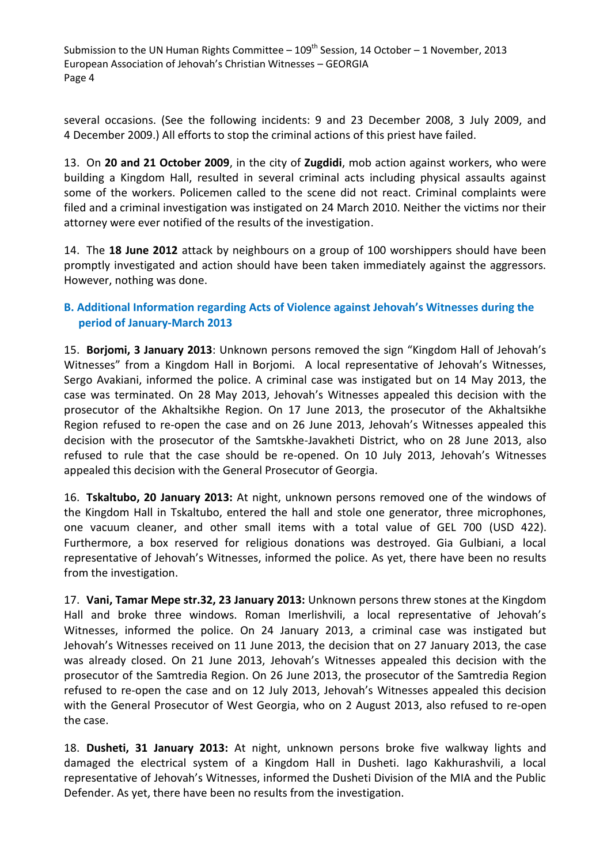several occasions. (See the following incidents: 9 and 23 December 2008, 3 July 2009, and 4 December 2009.) All efforts to stop the criminal actions of this priest have failed.

13. On **20 and 21 October 2009**, in the city of **Zugdidi**, mob action against workers, who were building a Kingdom Hall, resulted in several criminal acts including physical assaults against some of the workers. Policemen called to the scene did not react. Criminal complaints were filed and a criminal investigation was instigated on 24 March 2010. Neither the victims nor their attorney were ever notified of the results of the investigation.

14. The **18 June 2012** attack by neighbours on a group of 100 worshippers should have been promptly investigated and action should have been taken immediately against the aggressors. However, nothing was done.

#### <span id="page-5-0"></span>**B. Additional Information regarding Acts of Violence against Jehovah's Witnesses during the period of January-March 2013**

15. **Borjomi, 3 January 2013**: Unknown persons removed the sign "Kingdom Hall of Jehovah's Witnesses" from a Kingdom Hall in Borjomi. A local representative of Jehovah's Witnesses, Sergo Avakiani, informed the police. A criminal case was instigated but on 14 May 2013, the case was terminated. On 28 May 2013, Jehovah's Witnesses appealed this decision with the prosecutor of the Akhaltsikhe Region. On 17 June 2013, the prosecutor of the Akhaltsikhe Region refused to re-open the case and on 26 June 2013, Jehovah's Witnesses appealed this decision with the prosecutor of the Samtskhe-Javakheti District, who on 28 June 2013, also refused to rule that the case should be re-opened. On 10 July 2013, Jehovah's Witnesses appealed this decision with the General Prosecutor of Georgia.

16. **Tskaltubo, 20 January 2013:** At night, unknown persons removed one of the windows of the Kingdom Hall in Tskaltubo, entered the hall and stole one generator, three microphones, one vacuum cleaner, and other small items with a total value of GEL 700 (USD 422). Furthermore, a box reserved for religious donations was destroyed. Gia Gulbiani, a local representative of Jehovah's Witnesses, informed the police. As yet, there have been no results from the investigation.

17. **Vani, Tamar Mepe str.32, 23 January 2013:** Unknown persons threw stones at the Kingdom Hall and broke three windows. Roman Imerlishvili, a local representative of Jehovah's Witnesses, informed the police. On 24 January 2013, a criminal case was instigated but Jehovah's Witnesses received on 11 June 2013, the decision that on 27 January 2013, the case was already closed. On 21 June 2013, Jehovah's Witnesses appealed this decision with the prosecutor of the Samtredia Region. On 26 June 2013, the prosecutor of the Samtredia Region refused to re-open the case and on 12 July 2013, Jehovah's Witnesses appealed this decision with the General Prosecutor of West Georgia, who on 2 August 2013, also refused to re-open the case.

18. **Dusheti, 31 January 2013:** At night, unknown persons broke five walkway lights and damaged the electrical system of a Kingdom Hall in Dusheti. Iago Kakhurashvili, a local representative of Jehovah's Witnesses, informed the Dusheti Division of the MIA and the Public Defender. As yet, there have been no results from the investigation.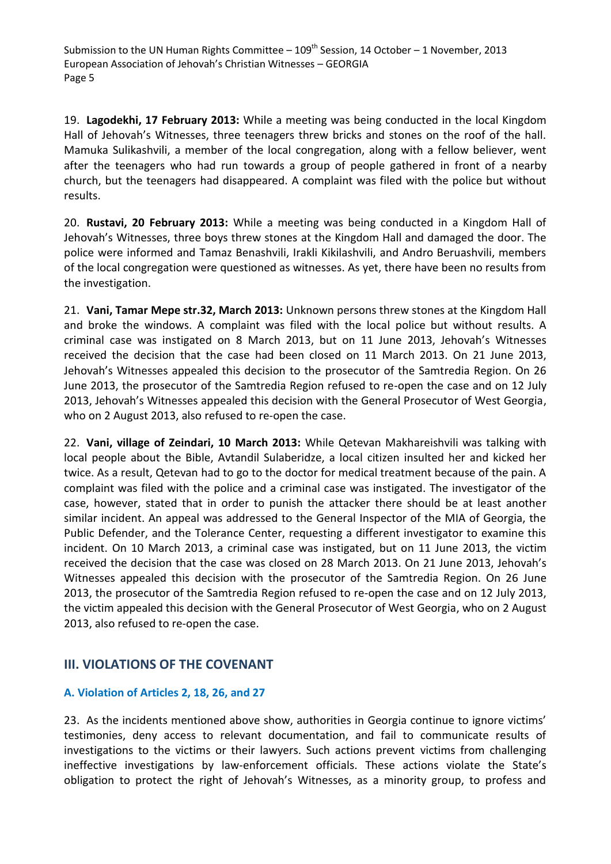19. **Lagodekhi, 17 February 2013:** While a meeting was being conducted in the local Kingdom Hall of Jehovah's Witnesses, three teenagers threw bricks and stones on the roof of the hall. Mamuka Sulikashvili, a member of the local congregation, along with a fellow believer, went after the teenagers who had run towards a group of people gathered in front of a nearby church, but the teenagers had disappeared. A complaint was filed with the police but without results.

20. **Rustavi, 20 February 2013:** While a meeting was being conducted in a Kingdom Hall of Jehovah's Witnesses, three boys threw stones at the Kingdom Hall and damaged the door. The police were informed and Tamaz Benashvili, Irakli Kikilashvili, and Andro Beruashvili, members of the local congregation were questioned as witnesses. As yet, there have been no results from the investigation.

21. **Vani, Tamar Mepe str.32, March 2013:** Unknown persons threw stones at the Kingdom Hall and broke the windows. A complaint was filed with the local police but without results. A criminal case was instigated on 8 March 2013, but on 11 June 2013, Jehovah's Witnesses received the decision that the case had been closed on 11 March 2013. On 21 June 2013, Jehovah's Witnesses appealed this decision to the prosecutor of the Samtredia Region. On 26 June 2013, the prosecutor of the Samtredia Region refused to re-open the case and on 12 July 2013, Jehovah's Witnesses appealed this decision with the General Prosecutor of West Georgia, who on 2 August 2013, also refused to re-open the case.

22. **Vani, village of Zeindari, 10 March 2013:** While Qetevan Makhareishvili was talking with local people about the Bible, Avtandil Sulaberidze, a local citizen insulted her and kicked her twice. As a result, Qetevan had to go to the doctor for medical treatment because of the pain. A complaint was filed with the police and a criminal case was instigated. The investigator of the case, however, stated that in order to punish the attacker there should be at least another similar incident. An appeal was addressed to the General Inspector of the MIA of Georgia, the Public Defender, and the Tolerance Center, requesting a different investigator to examine this incident. On 10 March 2013, a criminal case was instigated, but on 11 June 2013, the victim received the decision that the case was closed on 28 March 2013. On 21 June 2013, Jehovah's Witnesses appealed this decision with the prosecutor of the Samtredia Region. On 26 June 2013, the prosecutor of the Samtredia Region refused to re-open the case and on 12 July 2013, the victim appealed this decision with the General Prosecutor of West Georgia, who on 2 August 2013, also refused to re-open the case.

### <span id="page-6-0"></span>**III. VIOLATIONS OF THE COVENANT**

#### <span id="page-6-1"></span>**A. Violation of Articles 2, 18, 26, and 27**

23. As the incidents mentioned above show, authorities in Georgia continue to ignore victims' testimonies, deny access to relevant documentation, and fail to communicate results of investigations to the victims or their lawyers. Such actions prevent victims from challenging ineffective investigations by law-enforcement officials. These actions violate the State's obligation to protect the right of Jehovah's Witnesses, as a minority group, to profess and